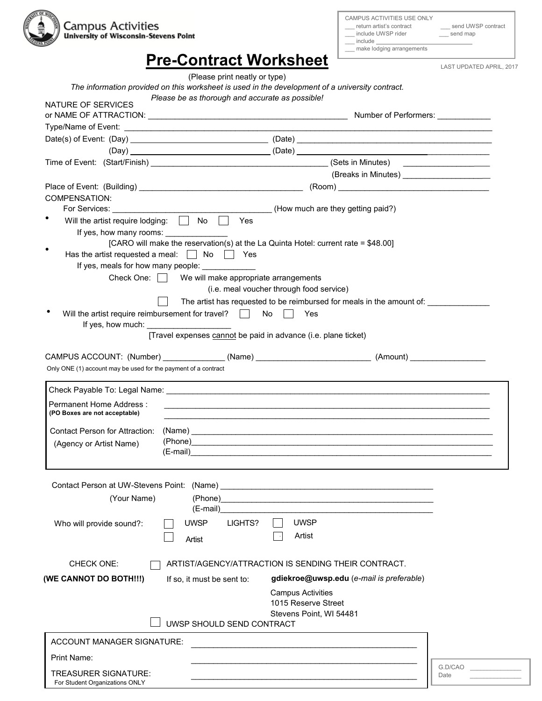

\_\_\_ make lodging arrangements

\_\_\_ include UWSP rider \_\_\_ send map  $\_\_$  include  $\_\_$ 

\_\_\_ return artist's contract \_\_\_ send UWSP contract

| <b>Pre-Contract Worksheet</b> |
|-------------------------------|
|-------------------------------|

LAST UPDATED APRIL, 2017

|                                                                        | (Please print neatly or type)                        |                                                                                                      |         |
|------------------------------------------------------------------------|------------------------------------------------------|------------------------------------------------------------------------------------------------------|---------|
|                                                                        |                                                      | The information provided on this worksheet is used in the development of a university contract.      |         |
| NATURE OF SERVICES                                                     | Please be as thorough and accurate as possible!      |                                                                                                      |         |
|                                                                        |                                                      |                                                                                                      |         |
|                                                                        |                                                      |                                                                                                      |         |
|                                                                        |                                                      |                                                                                                      |         |
|                                                                        |                                                      |                                                                                                      |         |
|                                                                        |                                                      |                                                                                                      |         |
|                                                                        |                                                      | (Breaks in Minutes) ________________________                                                         |         |
|                                                                        |                                                      |                                                                                                      |         |
| <b>COMPENSATION:</b>                                                   |                                                      |                                                                                                      |         |
| For Services: _____________                                            |                                                      | (How much are they getting paid?)                                                                    |         |
| Will the artist require lodging: $\Box$ No                             | Yes                                                  |                                                                                                      |         |
| If yes, how many rooms:                                                |                                                      |                                                                                                      |         |
|                                                                        |                                                      | [CARO will make the reservation(s) at the La Quinta Hotel: current rate = \$48.00]                   |         |
|                                                                        |                                                      |                                                                                                      |         |
| If yes, meals for how many people: _____________                       |                                                      |                                                                                                      |         |
|                                                                        | Check One:     We will make appropriate arrangements | (i.e. meal voucher through food service)                                                             |         |
|                                                                        |                                                      | The artist has requested to be reimbursed for meals in the amount of: ___________                    |         |
| Will the artist require reimbursement for travel? $\Box$ No $\Box$ Yes |                                                      |                                                                                                      |         |
| If yes, how much:                                                      |                                                      |                                                                                                      |         |
|                                                                        |                                                      | [Travel expenses cannot be paid in advance (i.e. plane ticket)                                       |         |
|                                                                        |                                                      |                                                                                                      |         |
|                                                                        |                                                      | CAMPUS ACCOUNT: (Number) _______________(Name) ___________________________(Amount) _________________ |         |
| Only ONE (1) account may be used for the payment of a contract         |                                                      |                                                                                                      |         |
| Permanent Home Address:                                                |                                                      |                                                                                                      |         |
| (PO Boxes are not acceptable)                                          |                                                      |                                                                                                      |         |
| <b>Contact Person for Attraction:</b>                                  |                                                      | (Name)                                                                                               |         |
| (Agency or Artist Name)                                                |                                                      |                                                                                                      |         |
|                                                                        |                                                      |                                                                                                      |         |
|                                                                        |                                                      |                                                                                                      |         |
|                                                                        |                                                      |                                                                                                      |         |
| Contact Person at UW-Stevens Point: (Name)                             |                                                      | <u> 1980 - Jan Barnett, fransk politik (d. 1980)</u>                                                 |         |
| (Your Name)                                                            | (Phone)<br>(E-mail)                                  |                                                                                                      |         |
|                                                                        |                                                      |                                                                                                      |         |
| Who will provide sound?:                                               | <b>UWSP</b><br>LIGHTS?                               | <b>UWSP</b>                                                                                          |         |
|                                                                        | Artist                                               | Artist                                                                                               |         |
|                                                                        |                                                      |                                                                                                      |         |
| CHECK ONE:                                                             |                                                      | ARTIST/AGENCY/ATTRACTION IS SENDING THEIR CONTRACT.                                                  |         |
| (WE CANNOT DO BOTH!!!)                                                 | If so, it must be sent to:                           | gdiekroe@uwsp.edu (e-mail is preferable)                                                             |         |
|                                                                        |                                                      | <b>Campus Activities</b>                                                                             |         |
|                                                                        |                                                      | 1015 Reserve Street                                                                                  |         |
|                                                                        |                                                      | Stevens Point, WI 54481                                                                              |         |
|                                                                        | UWSP SHOULD SEND CONTRACT                            |                                                                                                      |         |
| <b>ACCOUNT MANAGER SIGNATURE:</b>                                      |                                                      |                                                                                                      |         |
|                                                                        |                                                      |                                                                                                      |         |
| Print Name:                                                            |                                                      |                                                                                                      | G.D/CAO |
| TREASURER SIGNATURE:                                                   |                                                      |                                                                                                      | Date    |
| For Student Organizations ONLY                                         |                                                      |                                                                                                      |         |